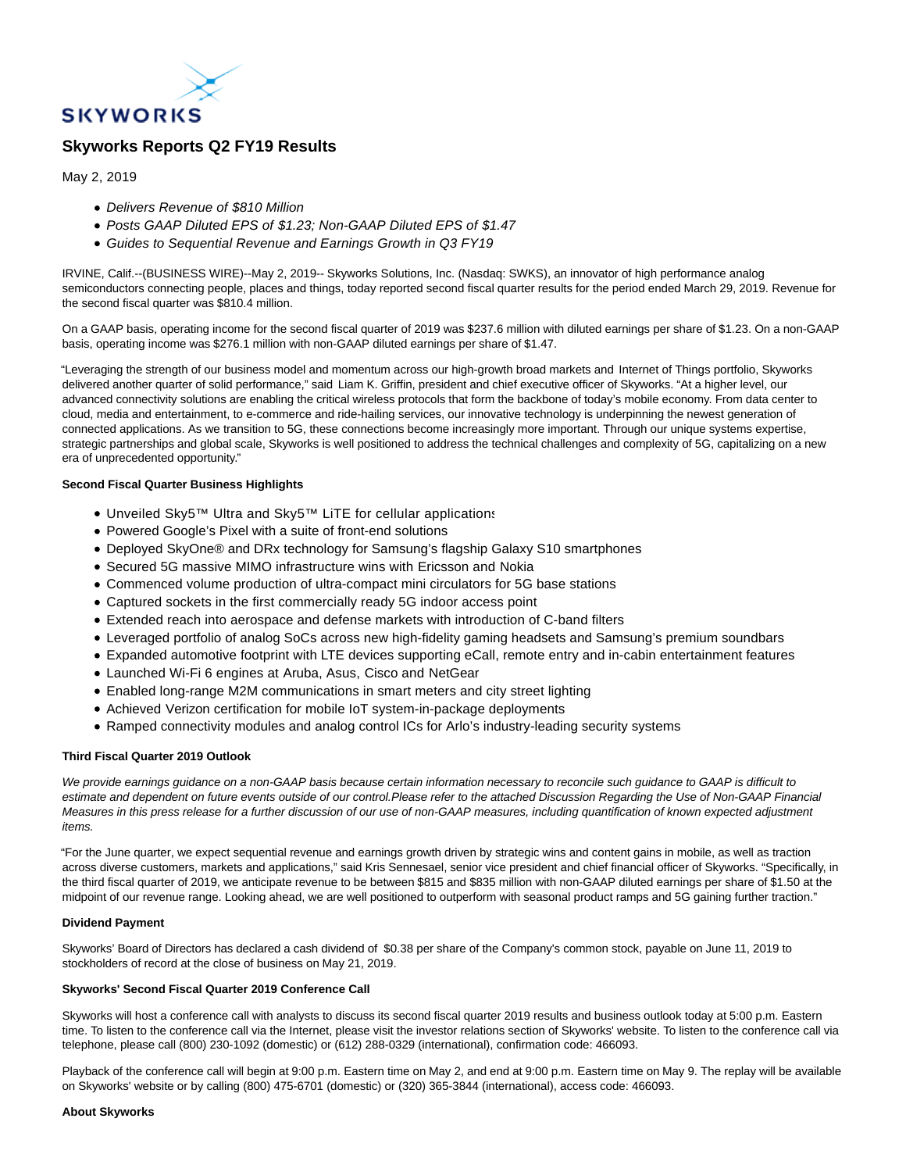

# **Skyworks Reports Q2 FY19 Results**

May 2, 2019

- Delivers Revenue of \$810 Million
- Posts GAAP Diluted EPS of \$1.23; Non-GAAP Diluted EPS of \$1.47
- Guides to Sequential Revenue and Earnings Growth in Q3 FY19

IRVINE, Calif.--(BUSINESS WIRE)--May 2, 2019-- Skyworks Solutions, Inc. (Nasdaq: SWKS), an innovator of high performance analog semiconductors connecting people, places and things, today reported second fiscal quarter results for the period ended March 29, 2019. Revenue for the second fiscal quarter was \$810.4 million.

On a GAAP basis, operating income for the second fiscal quarter of 2019 was \$237.6 million with diluted earnings per share of \$1.23. On a non-GAAP basis, operating income was \$276.1 million with non-GAAP diluted earnings per share of \$1.47.

"Leveraging the strength of our business model and momentum across our high-growth broad markets and Internet of Things portfolio, Skyworks delivered another quarter of solid performance," said Liam K. Griffin, president and chief executive officer of Skyworks. "At a higher level, our advanced connectivity solutions are enabling the critical wireless protocols that form the backbone of today's mobile economy. From data center to cloud, media and entertainment, to e-commerce and ride-hailing services, our innovative technology is underpinning the newest generation of connected applications. As we transition to 5G, these connections become increasingly more important. Through our unique systems expertise, strategic partnerships and global scale, Skyworks is well positioned to address the technical challenges and complexity of 5G, capitalizing on a new era of unprecedented opportunity."

#### **Second Fiscal Quarter Business Highlights**

- Unveiled Sky5™ Ultra and Sky5™ LiTE for cellular applications
- Powered Google's Pixel with a suite of front-end solutions
- Deployed SkyOne® and DRx technology for Samsung's flagship Galaxy S10 smartphones
- Secured 5G massive MIMO infrastructure wins with Ericsson and Nokia
- Commenced volume production of ultra-compact mini circulators for 5G base stations
- Captured sockets in the first commercially ready 5G indoor access point
- Extended reach into aerospace and defense markets with introduction of C-band filters
- Leveraged portfolio of analog SoCs across new high-fidelity gaming headsets and Samsung's premium soundbars
- Expanded automotive footprint with LTE devices supporting eCall, remote entry and in-cabin entertainment features
- Launched Wi-Fi 6 engines at Aruba, Asus, Cisco and NetGear
- Enabled long-range M2M communications in smart meters and city street lighting
- Achieved Verizon certification for mobile IoT system-in-package deployments
- Ramped connectivity modules and analog control ICs for Arlo's industry-leading security systems

## **Third Fiscal Quarter 2019 Outlook**

We provide earnings guidance on a non-GAAP basis because certain information necessary to reconcile such guidance to GAAP is difficult to estimate and dependent on future events outside of our control.Please refer to the attached Discussion Regarding the Use of Non-GAAP Financial Measures in this press release for a further discussion of our use of non-GAAP measures, including quantification of known expected adjustment items.

"For the June quarter, we expect sequential revenue and earnings growth driven by strategic wins and content gains in mobile, as well as traction across diverse customers, markets and applications," said Kris Sennesael, senior vice president and chief financial officer of Skyworks. "Specifically, in the third fiscal quarter of 2019, we anticipate revenue to be between \$815 and \$835 million with non-GAAP diluted earnings per share of \$1.50 at the midpoint of our revenue range. Looking ahead, we are well positioned to outperform with seasonal product ramps and 5G gaining further traction."

#### **Dividend Payment**

Skyworks' Board of Directors has declared a cash dividend of \$0.38 per share of the Company's common stock, payable on June 11, 2019 to stockholders of record at the close of business on May 21, 2019.

#### **Skyworks' Second Fiscal Quarter 2019 Conference Call**

Skyworks will host a conference call with analysts to discuss its second fiscal quarter 2019 results and business outlook today at 5:00 p.m. Eastern time. To listen to the conference call via the Internet, please visit the investor relations section of Skyworks' website. To listen to the conference call via telephone, please call (800) 230-1092 (domestic) or (612) 288-0329 (international), confirmation code: 466093.

Playback of the conference call will begin at 9:00 p.m. Eastern time on May 2, and end at 9:00 p.m. Eastern time on May 9. The replay will be available on Skyworks' website or by calling (800) 475-6701 (domestic) or (320) 365-3844 (international), access code: 466093.

#### **About Skyworks**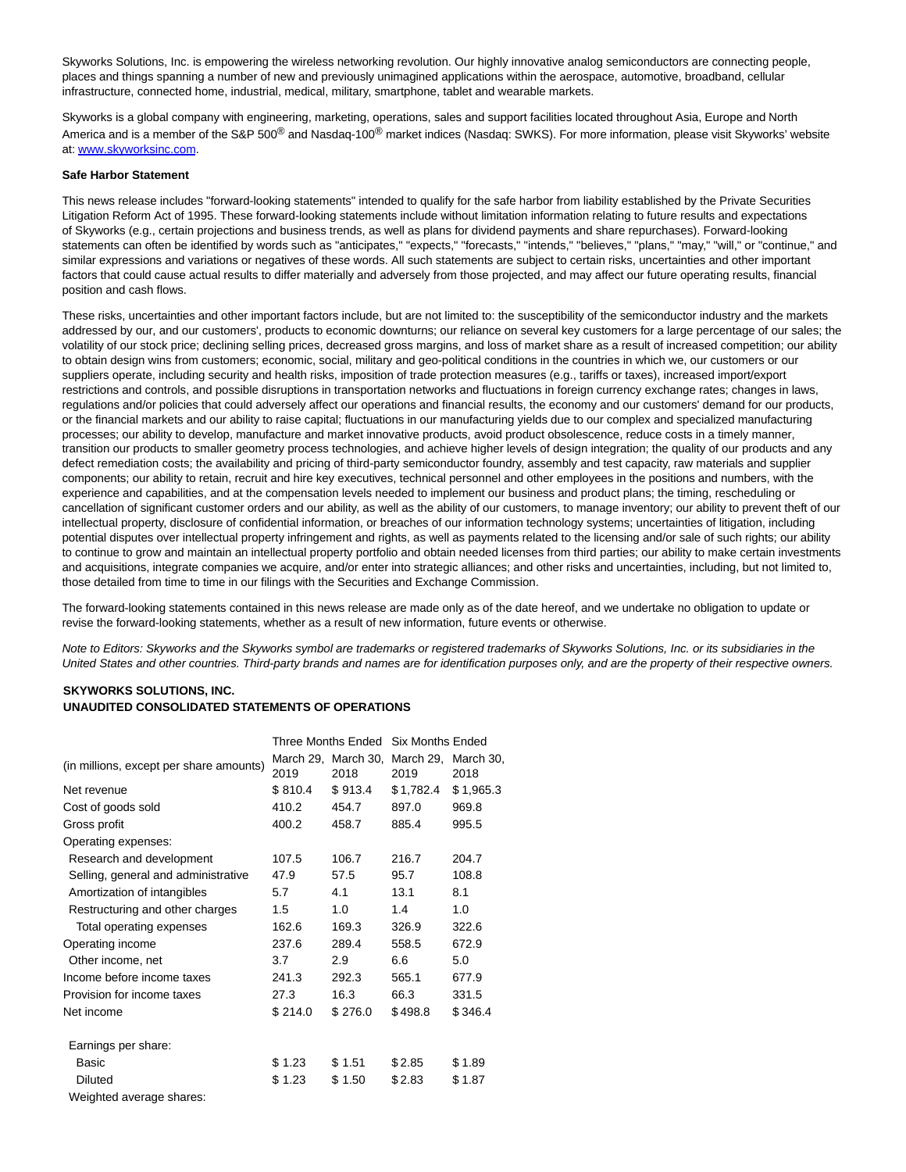Skyworks Solutions, Inc. is empowering the wireless networking revolution. Our highly innovative analog semiconductors are connecting people, places and things spanning a number of new and previously unimagined applications within the aerospace, automotive, broadband, cellular infrastructure, connected home, industrial, medical, military, smartphone, tablet and wearable markets.

Skyworks is a global company with engineering, marketing, operations, sales and support facilities located throughout Asia, Europe and North America and is a member of the S&P 500<sup>®</sup> and Nasdaq-100<sup>®</sup> market indices (Nasdaq: SWKS). For more information, please visit Skyworks' website at: [www.skyworksinc.com.](https://cts.businesswire.com/ct/CT?id=smartlink&url=http%3A%2F%2Fwww.skyworksinc.com&esheet=51978993&newsitemid=20190502005887&lan=en-US&anchor=www.skyworksinc.com&index=1&md5=62c23176071926e63267fa48db23a6b5)

#### **Safe Harbor Statement**

This news release includes "forward-looking statements" intended to qualify for the safe harbor from liability established by the Private Securities Litigation Reform Act of 1995. These forward-looking statements include without limitation information relating to future results and expectations of Skyworks (e.g., certain projections and business trends, as well as plans for dividend payments and share repurchases). Forward-looking statements can often be identified by words such as "anticipates," "expects," "forecasts," "intends," "believes," "plans," "may," "will," or "continue," and similar expressions and variations or negatives of these words. All such statements are subject to certain risks, uncertainties and other important factors that could cause actual results to differ materially and adversely from those projected, and may affect our future operating results, financial position and cash flows.

These risks, uncertainties and other important factors include, but are not limited to: the susceptibility of the semiconductor industry and the markets addressed by our, and our customers', products to economic downturns; our reliance on several key customers for a large percentage of our sales; the volatility of our stock price; declining selling prices, decreased gross margins, and loss of market share as a result of increased competition; our ability to obtain design wins from customers; economic, social, military and geo-political conditions in the countries in which we, our customers or our suppliers operate, including security and health risks, imposition of trade protection measures (e.g., tariffs or taxes), increased import/export restrictions and controls, and possible disruptions in transportation networks and fluctuations in foreign currency exchange rates; changes in laws, regulations and/or policies that could adversely affect our operations and financial results, the economy and our customers' demand for our products, or the financial markets and our ability to raise capital; fluctuations in our manufacturing yields due to our complex and specialized manufacturing processes; our ability to develop, manufacture and market innovative products, avoid product obsolescence, reduce costs in a timely manner, transition our products to smaller geometry process technologies, and achieve higher levels of design integration; the quality of our products and any defect remediation costs; the availability and pricing of third-party semiconductor foundry, assembly and test capacity, raw materials and supplier components; our ability to retain, recruit and hire key executives, technical personnel and other employees in the positions and numbers, with the experience and capabilities, and at the compensation levels needed to implement our business and product plans; the timing, rescheduling or cancellation of significant customer orders and our ability, as well as the ability of our customers, to manage inventory; our ability to prevent theft of our intellectual property, disclosure of confidential information, or breaches of our information technology systems; uncertainties of litigation, including potential disputes over intellectual property infringement and rights, as well as payments related to the licensing and/or sale of such rights; our ability to continue to grow and maintain an intellectual property portfolio and obtain needed licenses from third parties; our ability to make certain investments and acquisitions, integrate companies we acquire, and/or enter into strategic alliances; and other risks and uncertainties, including, but not limited to, those detailed from time to time in our filings with the Securities and Exchange Commission.

The forward-looking statements contained in this news release are made only as of the date hereof, and we undertake no obligation to update or revise the forward-looking statements, whether as a result of new information, future events or otherwise.

Note to Editors: Skyworks and the Skyworks symbol are trademarks or registered trademarks of Skyworks Solutions, Inc. or its subsidiaries in the United States and other countries. Third-party brands and names are for identification purposes only, and are the property of their respective owners.

## **SKYWORKS SOLUTIONS, INC. UNAUDITED CONSOLIDATED STATEMENTS OF OPERATIONS**

|                                         |         | Three Months Ended          | <b>Six Months Ended</b> |                   |  |  |
|-----------------------------------------|---------|-----------------------------|-------------------------|-------------------|--|--|
| (in millions, except per share amounts) | 2019    | March 29, March 30,<br>2018 | March 29,<br>2019       | March 30,<br>2018 |  |  |
| Net revenue                             | \$810.4 | \$913.4                     | \$1,782.4               | \$1,965.3         |  |  |
| Cost of goods sold                      | 410.2   | 454.7                       | 897.0                   | 969.8             |  |  |
| Gross profit                            | 400.2   | 458.7                       | 885.4                   | 995.5             |  |  |
| Operating expenses:                     |         |                             |                         |                   |  |  |
| Research and development                | 107.5   | 106.7                       | 216.7                   | 204.7             |  |  |
| Selling, general and administrative     | 47.9    | 57.5                        | 95.7                    | 108.8             |  |  |
| Amortization of intangibles             | 5.7     | 4.1                         | 13.1                    | 8.1               |  |  |
| Restructuring and other charges         | 1.5     | 1.0                         | 1.4                     | 1.0               |  |  |
| Total operating expenses                | 162.6   | 169.3                       | 326.9                   | 322.6             |  |  |
| Operating income                        | 237.6   | 289.4                       | 558.5                   | 672.9             |  |  |
| Other income, net                       | 3.7     | 2.9                         | 6.6                     | 5.0               |  |  |
| Income before income taxes              | 241.3   | 292.3                       | 565.1                   | 677.9             |  |  |
| Provision for income taxes              | 27.3    | 16.3                        | 66.3                    | 331.5             |  |  |
| Net income                              | \$214.0 | \$276.0                     | \$498.8                 | \$346.4           |  |  |
| Earnings per share:                     |         |                             |                         |                   |  |  |
| Basic                                   | \$1.23  | \$1.51                      | \$2.85                  | \$1.89            |  |  |
| <b>Diluted</b>                          | \$1.23  | \$1.50                      | \$2.83                  | \$1.87            |  |  |
| Weighted average shares:                |         |                             |                         |                   |  |  |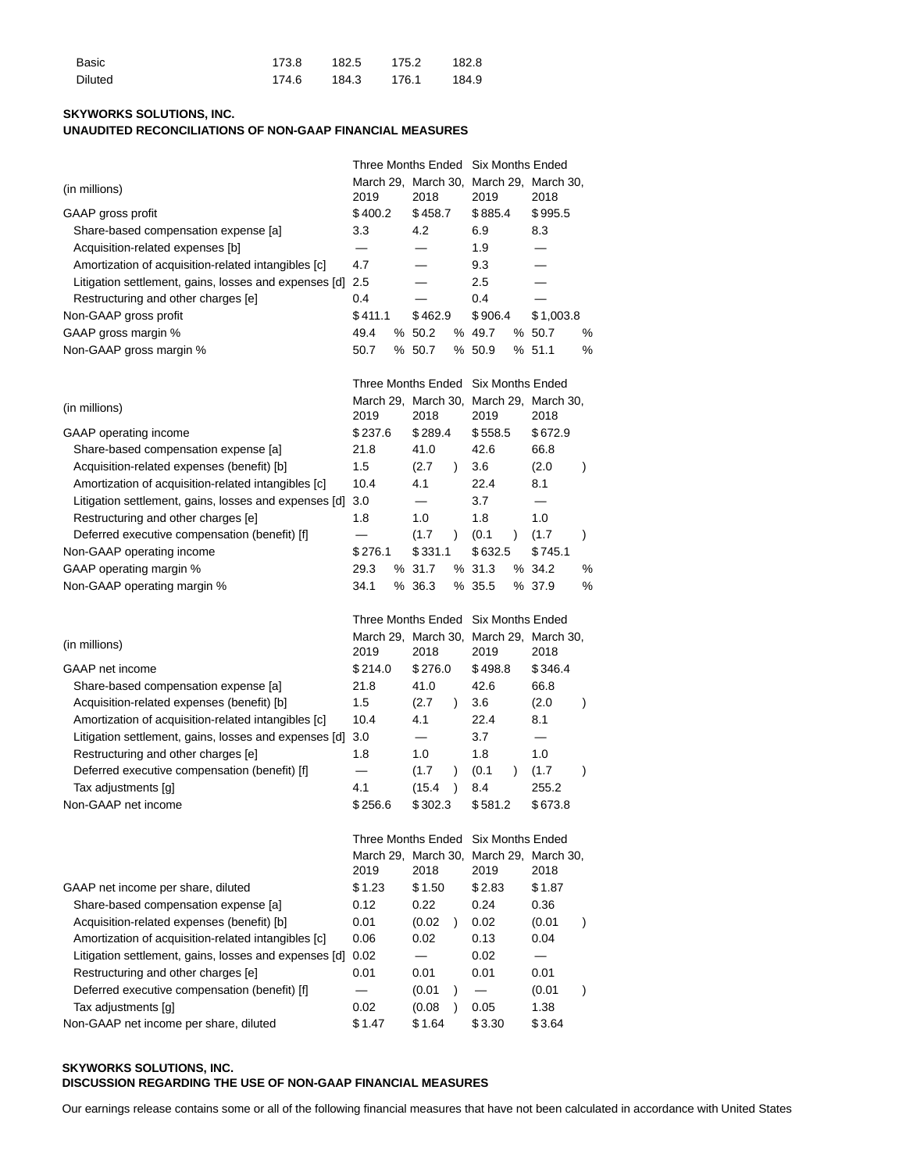| Basic   |       |             | 173.8 182.5 175.2 182.8 |       |
|---------|-------|-------------|-------------------------|-------|
| Diluted | 174.6 | 184.3 176.1 |                         | 184.9 |

### **SKYWORKS SOLUTIONS, INC.**

# **UNAUDITED RECONCILIATIONS OF NON-GAAP FINANCIAL MEASURES**

|                                                               |                | Three Months Ended                      | <b>Six Months Ended</b>             |                                  |  |  |  |  |
|---------------------------------------------------------------|----------------|-----------------------------------------|-------------------------------------|----------------------------------|--|--|--|--|
| (in millions)                                                 |                | March 29, March 30, March 29, March 30, |                                     |                                  |  |  |  |  |
|                                                               | 2019           | 2018                                    | 2019                                | 2018                             |  |  |  |  |
| GAAP gross profit                                             | \$400.2        | \$458.7                                 | \$885.4                             | \$995.5                          |  |  |  |  |
| Share-based compensation expense [a]                          | 3.3            | 4.2                                     | 6.9                                 | 8.3                              |  |  |  |  |
| Acquisition-related expenses [b]                              |                |                                         | 1.9                                 |                                  |  |  |  |  |
| Amortization of acquisition-related intangibles [c]           | 4.7            |                                         | 9.3                                 |                                  |  |  |  |  |
| Litigation settlement, gains, losses and expenses [d]         | 2.5            |                                         | 2.5                                 |                                  |  |  |  |  |
| Restructuring and other charges [e]                           | 0.4            |                                         | 0.4                                 |                                  |  |  |  |  |
| Non-GAAP gross profit                                         | \$411.1        | \$462.9                                 | \$906.4                             | \$1,003.8                        |  |  |  |  |
| GAAP gross margin %                                           | 49.4           | % 50.2                                  | % 49.7                              | % 50.7<br>%                      |  |  |  |  |
| Non-GAAP gross margin %                                       | 50.7           | % 50.7                                  | % 50.9                              | %51.1<br>%                       |  |  |  |  |
|                                                               |                |                                         | Three Months Ended Six Months Ended |                                  |  |  |  |  |
|                                                               |                | March 29, March 30, March 29, March 30, |                                     |                                  |  |  |  |  |
| (in millions)                                                 | 2019           | 2018                                    | 2019                                | 2018                             |  |  |  |  |
| GAAP operating income                                         | \$237.6        | \$289.4                                 | \$558.5                             | \$672.9                          |  |  |  |  |
| Share-based compensation expense [a]                          | 21.8           | 41.0                                    | 42.6                                | 66.8                             |  |  |  |  |
| Acquisition-related expenses (benefit) [b]                    | 1.5            | (2.7)<br>$\lambda$                      | 3.6                                 | (2.0)<br>$\mathcal{E}$           |  |  |  |  |
| Amortization of acquisition-related intangibles [c]           | 10.4           | 4.1                                     | 22.4                                | 8.1                              |  |  |  |  |
| Litigation settlement, gains, losses and expenses [d]         | 3.0            |                                         | 3.7                                 |                                  |  |  |  |  |
| Restructuring and other charges [e]                           | 1.8            | 1.0                                     | 1.8                                 | 1.0                              |  |  |  |  |
| Deferred executive compensation (benefit) [f]                 |                | (1.7)<br>$\lambda$                      | (0.1)<br>$\lambda$                  | (1.7)<br>$\mathcal{E}$           |  |  |  |  |
| Non-GAAP operating income                                     | \$276.1        | \$331.1                                 | \$632.5                             | \$745.1                          |  |  |  |  |
| GAAP operating margin %                                       | 29.3           | %31.7                                   | % 31.3                              | %34.2<br>℅                       |  |  |  |  |
| Non-GAAP operating margin %                                   | 34.1           | % 36.3                                  | % 35.5                              | % 37.9<br>%                      |  |  |  |  |
|                                                               |                |                                         |                                     |                                  |  |  |  |  |
|                                                               |                |                                         |                                     |                                  |  |  |  |  |
|                                                               |                | Three Months Ended Six Months Ended     |                                     |                                  |  |  |  |  |
|                                                               |                | March 29, March 30, March 29, March 30, |                                     |                                  |  |  |  |  |
| (in millions)                                                 | 2019           | 2018                                    | 2019                                | 2018                             |  |  |  |  |
| GAAP net income                                               | \$214.0        | \$276.0                                 | \$498.8                             | \$346.4                          |  |  |  |  |
| Share-based compensation expense [a]                          | 21.8           | 41.0                                    | 42.6                                | 66.8                             |  |  |  |  |
| Acquisition-related expenses (benefit) [b]                    | 1.5            | (2.7)<br>$\lambda$                      | 3.6                                 | (2.0)<br>$\mathcal{L}$           |  |  |  |  |
| Amortization of acquisition-related intangibles [c]           | 10.4           | 4.1                                     | 22.4                                | 8.1                              |  |  |  |  |
| Litigation settlement, gains, losses and expenses [d]         | 3.0            |                                         | 3.7                                 |                                  |  |  |  |  |
| Restructuring and other charges [e]                           | 1.8            | 1.0                                     | 1.8                                 | 1.0                              |  |  |  |  |
| Deferred executive compensation (benefit) [f]                 |                | (1.7)<br>$\mathcal{E}$                  | (0.1)<br>$\lambda$                  | (1.7)<br>$\mathcal{E}$           |  |  |  |  |
| Tax adjustments [g]                                           | 4.1            | (15.4)<br>$\lambda$                     | 8.4                                 | 255.2                            |  |  |  |  |
| Non-GAAP net income                                           | \$256.6        | \$302.3                                 | \$581.2                             | \$673.8                          |  |  |  |  |
|                                                               |                |                                         |                                     |                                  |  |  |  |  |
|                                                               |                | Three Months Ended Six Months Ended     |                                     |                                  |  |  |  |  |
|                                                               |                | March 29, March 30, March 29, March 30, |                                     |                                  |  |  |  |  |
|                                                               | 2019           | 2018                                    | 2019                                | 2018                             |  |  |  |  |
| GAAP net income per share, diluted                            | \$1.23         | \$1.50                                  | \$2.83                              | \$1.87                           |  |  |  |  |
| Share-based compensation expense [a]                          | 0.12           | 0.22                                    | 0.24                                | 0.36                             |  |  |  |  |
| Acquisition-related expenses (benefit) [b]                    | 0.01           | (0.02)<br>$\lambda$                     | 0.02                                | (0.01)<br>$\mathcal{E}$          |  |  |  |  |
| Amortization of acquisition-related intangibles [c]           | 0.06           | 0.02                                    | 0.13                                | 0.04<br>$\overline{\phantom{0}}$ |  |  |  |  |
| Litigation settlement, gains, losses and expenses [d]         | 0.02           |                                         | 0.02                                |                                  |  |  |  |  |
| Restructuring and other charges [e]                           | 0.01           | 0.01                                    | 0.01                                | 0.01                             |  |  |  |  |
| Deferred executive compensation (benefit) [f]                 |                | (0.01)<br>$\lambda$<br>$\lambda$        |                                     | (0.01)<br>$\mathcal{E}$          |  |  |  |  |
| Tax adjustments [g]<br>Non-GAAP net income per share, diluted | 0.02<br>\$1.47 | (0.08)<br>\$1.64                        | 0.05<br>\$3.30                      | 1.38<br>\$3.64                   |  |  |  |  |

# **SKYWORKS SOLUTIONS, INC. DISCUSSION REGARDING THE USE OF NON-GAAP FINANCIAL MEASURES**

Our earnings release contains some or all of the following financial measures that have not been calculated in accordance with United States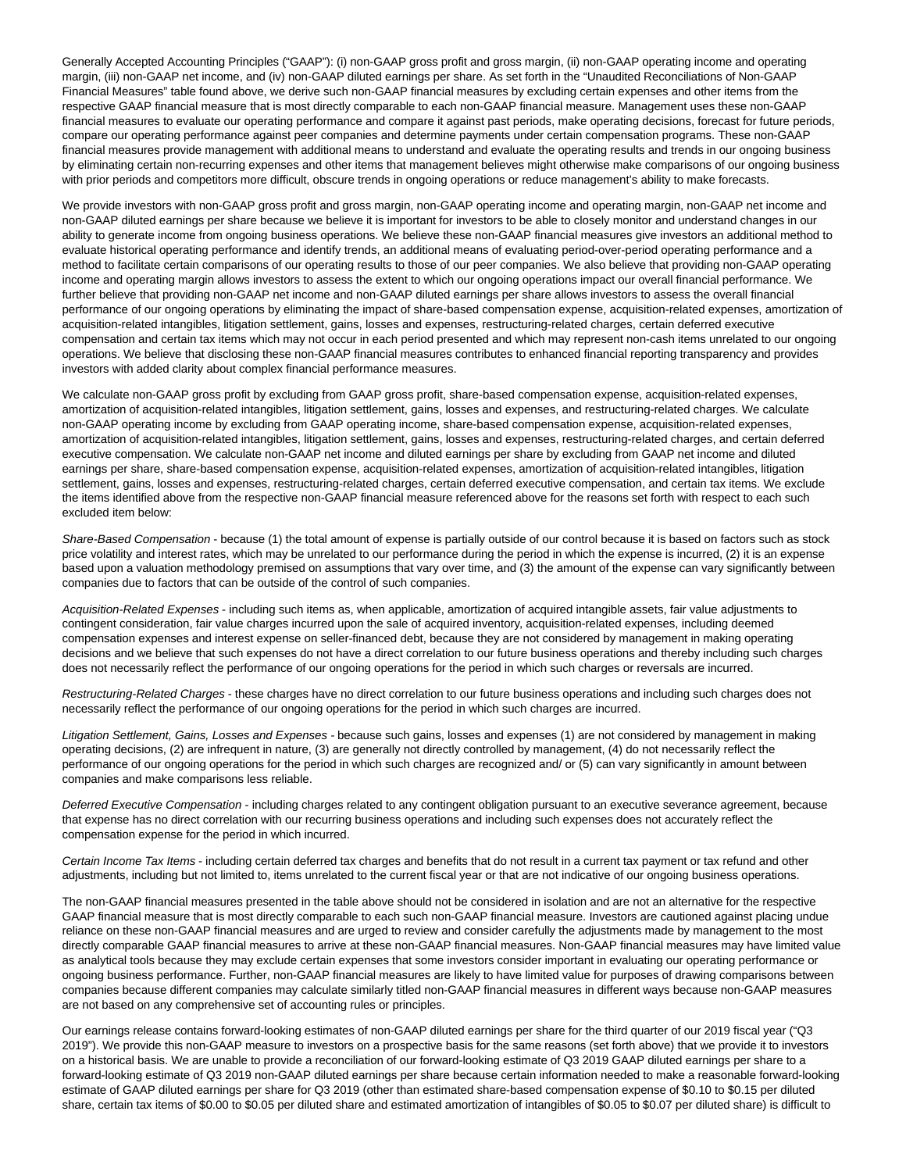Generally Accepted Accounting Principles ("GAAP"): (i) non-GAAP gross profit and gross margin, (ii) non-GAAP operating income and operating margin, (iii) non-GAAP net income, and (iv) non-GAAP diluted earnings per share. As set forth in the "Unaudited Reconciliations of Non-GAAP Financial Measures" table found above, we derive such non-GAAP financial measures by excluding certain expenses and other items from the respective GAAP financial measure that is most directly comparable to each non-GAAP financial measure. Management uses these non-GAAP financial measures to evaluate our operating performance and compare it against past periods, make operating decisions, forecast for future periods, compare our operating performance against peer companies and determine payments under certain compensation programs. These non-GAAP financial measures provide management with additional means to understand and evaluate the operating results and trends in our ongoing business by eliminating certain non-recurring expenses and other items that management believes might otherwise make comparisons of our ongoing business with prior periods and competitors more difficult, obscure trends in ongoing operations or reduce management's ability to make forecasts.

We provide investors with non-GAAP gross profit and gross margin, non-GAAP operating income and operating margin, non-GAAP net income and non-GAAP diluted earnings per share because we believe it is important for investors to be able to closely monitor and understand changes in our ability to generate income from ongoing business operations. We believe these non-GAAP financial measures give investors an additional method to evaluate historical operating performance and identify trends, an additional means of evaluating period-over-period operating performance and a method to facilitate certain comparisons of our operating results to those of our peer companies. We also believe that providing non-GAAP operating income and operating margin allows investors to assess the extent to which our ongoing operations impact our overall financial performance. We further believe that providing non-GAAP net income and non-GAAP diluted earnings per share allows investors to assess the overall financial performance of our ongoing operations by eliminating the impact of share-based compensation expense, acquisition-related expenses, amortization of acquisition-related intangibles, litigation settlement, gains, losses and expenses, restructuring-related charges, certain deferred executive compensation and certain tax items which may not occur in each period presented and which may represent non-cash items unrelated to our ongoing operations. We believe that disclosing these non-GAAP financial measures contributes to enhanced financial reporting transparency and provides investors with added clarity about complex financial performance measures.

We calculate non-GAAP gross profit by excluding from GAAP gross profit, share-based compensation expense, acquisition-related expenses, amortization of acquisition-related intangibles, litigation settlement, gains, losses and expenses, and restructuring-related charges. We calculate non-GAAP operating income by excluding from GAAP operating income, share-based compensation expense, acquisition-related expenses, amortization of acquisition-related intangibles, litigation settlement, gains, losses and expenses, restructuring-related charges, and certain deferred executive compensation. We calculate non-GAAP net income and diluted earnings per share by excluding from GAAP net income and diluted earnings per share, share-based compensation expense, acquisition-related expenses, amortization of acquisition-related intangibles, litigation settlement, gains, losses and expenses, restructuring-related charges, certain deferred executive compensation, and certain tax items. We exclude the items identified above from the respective non-GAAP financial measure referenced above for the reasons set forth with respect to each such excluded item below:

Share-Based Compensation - because (1) the total amount of expense is partially outside of our control because it is based on factors such as stock price volatility and interest rates, which may be unrelated to our performance during the period in which the expense is incurred, (2) it is an expense based upon a valuation methodology premised on assumptions that vary over time, and (3) the amount of the expense can vary significantly between companies due to factors that can be outside of the control of such companies.

Acquisition-Related Expenses - including such items as, when applicable, amortization of acquired intangible assets, fair value adjustments to contingent consideration, fair value charges incurred upon the sale of acquired inventory, acquisition-related expenses, including deemed compensation expenses and interest expense on seller-financed debt, because they are not considered by management in making operating decisions and we believe that such expenses do not have a direct correlation to our future business operations and thereby including such charges does not necessarily reflect the performance of our ongoing operations for the period in which such charges or reversals are incurred.

Restructuring-Related Charges - these charges have no direct correlation to our future business operations and including such charges does not necessarily reflect the performance of our ongoing operations for the period in which such charges are incurred.

Litigation Settlement, Gains, Losses and Expenses - because such gains, losses and expenses (1) are not considered by management in making operating decisions, (2) are infrequent in nature, (3) are generally not directly controlled by management, (4) do not necessarily reflect the performance of our ongoing operations for the period in which such charges are recognized and/ or (5) can vary significantly in amount between companies and make comparisons less reliable.

Deferred Executive Compensation - including charges related to any contingent obligation pursuant to an executive severance agreement, because that expense has no direct correlation with our recurring business operations and including such expenses does not accurately reflect the compensation expense for the period in which incurred.

Certain Income Tax Items - including certain deferred tax charges and benefits that do not result in a current tax payment or tax refund and other adjustments, including but not limited to, items unrelated to the current fiscal year or that are not indicative of our ongoing business operations.

The non-GAAP financial measures presented in the table above should not be considered in isolation and are not an alternative for the respective GAAP financial measure that is most directly comparable to each such non-GAAP financial measure. Investors are cautioned against placing undue reliance on these non-GAAP financial measures and are urged to review and consider carefully the adjustments made by management to the most directly comparable GAAP financial measures to arrive at these non-GAAP financial measures. Non-GAAP financial measures may have limited value as analytical tools because they may exclude certain expenses that some investors consider important in evaluating our operating performance or ongoing business performance. Further, non-GAAP financial measures are likely to have limited value for purposes of drawing comparisons between companies because different companies may calculate similarly titled non-GAAP financial measures in different ways because non-GAAP measures are not based on any comprehensive set of accounting rules or principles.

Our earnings release contains forward-looking estimates of non-GAAP diluted earnings per share for the third quarter of our 2019 fiscal year ("Q3 2019"). We provide this non-GAAP measure to investors on a prospective basis for the same reasons (set forth above) that we provide it to investors on a historical basis. We are unable to provide a reconciliation of our forward-looking estimate of Q3 2019 GAAP diluted earnings per share to a forward-looking estimate of Q3 2019 non-GAAP diluted earnings per share because certain information needed to make a reasonable forward-looking estimate of GAAP diluted earnings per share for Q3 2019 (other than estimated share-based compensation expense of \$0.10 to \$0.15 per diluted share, certain tax items of \$0.00 to \$0.05 per diluted share and estimated amortization of intangibles of \$0.05 to \$0.07 per diluted share) is difficult to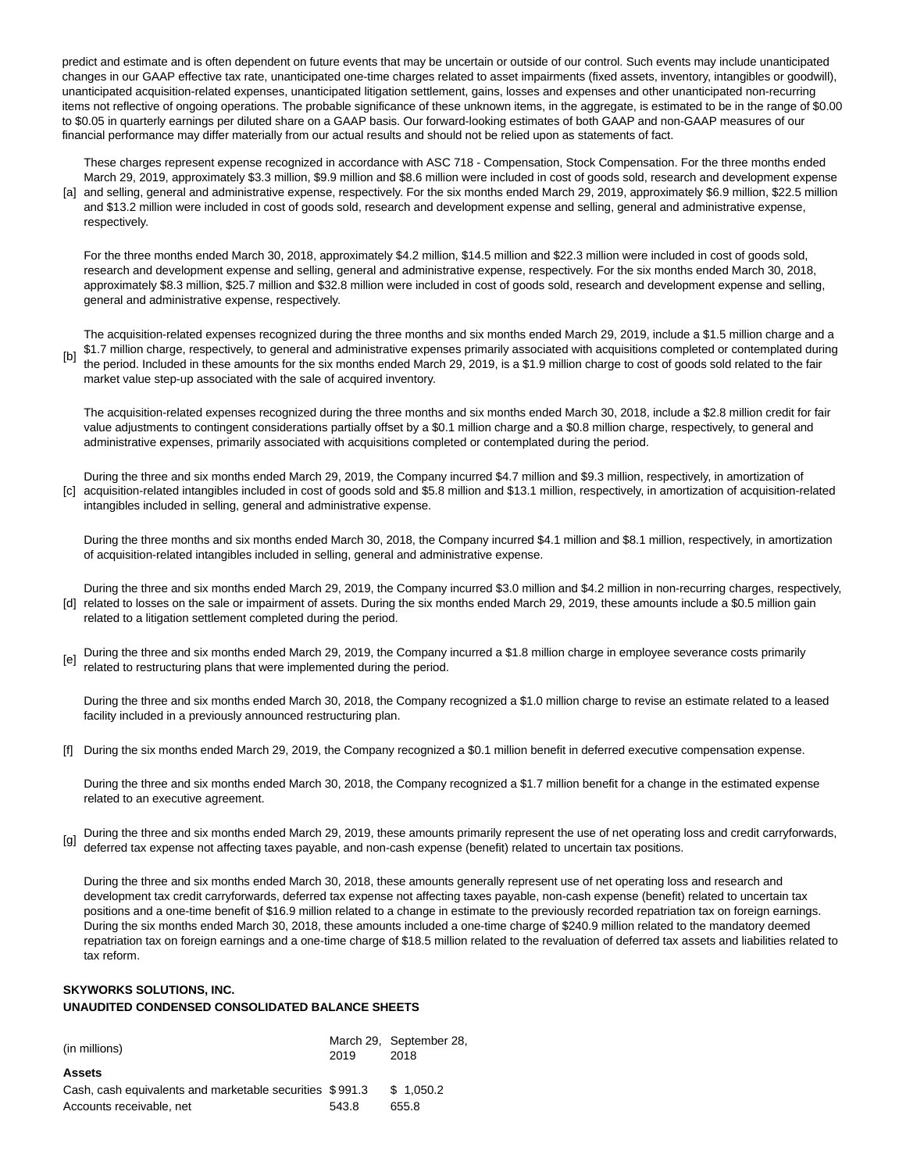predict and estimate and is often dependent on future events that may be uncertain or outside of our control. Such events may include unanticipated changes in our GAAP effective tax rate, unanticipated one-time charges related to asset impairments (fixed assets, inventory, intangibles or goodwill), unanticipated acquisition-related expenses, unanticipated litigation settlement, gains, losses and expenses and other unanticipated non-recurring items not reflective of ongoing operations. The probable significance of these unknown items, in the aggregate, is estimated to be in the range of \$0.00 to \$0.05 in quarterly earnings per diluted share on a GAAP basis. Our forward-looking estimates of both GAAP and non-GAAP measures of our financial performance may differ materially from our actual results and should not be relied upon as statements of fact.

[a] and selling, general and administrative expense, respectively. For the six months ended March 29, 2019, approximately \$6.9 million, \$22.5 million These charges represent expense recognized in accordance with ASC 718 - Compensation, Stock Compensation. For the three months ended March 29, 2019, approximately \$3.3 million, \$9.9 million and \$8.6 million were included in cost of goods sold, research and development expense and \$13.2 million were included in cost of goods sold, research and development expense and selling, general and administrative expense, respectively.

For the three months ended March 30, 2018, approximately \$4.2 million, \$14.5 million and \$22.3 million were included in cost of goods sold, research and development expense and selling, general and administrative expense, respectively. For the six months ended March 30, 2018, approximately \$8.3 million, \$25.7 million and \$32.8 million were included in cost of goods sold, research and development expense and selling, general and administrative expense, respectively.

[b] The acquisition-related expenses recognized during the three months and six months ended March 29, 2019, include a \$1.5 million charge and a \$1.7 million charge, respectively, to general and administrative expenses primarily associated with acquisitions completed or contemplated during the period. Included in these amounts for the six months ended March 29, 2019, is a \$1.9 million charge to cost of goods sold related to the fair market value step-up associated with the sale of acquired inventory.

The acquisition-related expenses recognized during the three months and six months ended March 30, 2018, include a \$2.8 million credit for fair value adjustments to contingent considerations partially offset by a \$0.1 million charge and a \$0.8 million charge, respectively, to general and administrative expenses, primarily associated with acquisitions completed or contemplated during the period.

[c] acquisition-related intangibles included in cost of goods sold and \$5.8 million and \$13.1 million, respectively, in amortization of acquisition-related During the three and six months ended March 29, 2019, the Company incurred \$4.7 million and \$9.3 million, respectively, in amortization of intangibles included in selling, general and administrative expense.

During the three months and six months ended March 30, 2018, the Company incurred \$4.1 million and \$8.1 million, respectively, in amortization of acquisition-related intangibles included in selling, general and administrative expense.

[d] related to losses on the sale or impairment of assets. During the six months ended March 29, 2019, these amounts include a \$0.5 million gain During the three and six months ended March 29, 2019, the Company incurred \$3.0 million and \$4.2 million in non-recurring charges, respectively, related to a litigation settlement completed during the period.

[e] During the three and six months ended March 29, 2019, the Company incurred a \$1.8 million charge in employee severance costs primarily<br>[e] salated to restruct wise plane that were implemented divisor the pariod related to restructuring plans that were implemented during the period.

During the three and six months ended March 30, 2018, the Company recognized a \$1.0 million charge to revise an estimate related to a leased facility included in a previously announced restructuring plan.

[f] During the six months ended March 29, 2019, the Company recognized a \$0.1 million benefit in deferred executive compensation expense.

During the three and six months ended March 30, 2018, the Company recognized a \$1.7 million benefit for a change in the estimated expense related to an executive agreement.

[g] During the three and six months ended March 29, 2019, these amounts primarily represent the use of net operating loss and credit carryforwards,<br>
[g] deferred to users and official to use problem and new septiments (hen deferred tax expense not affecting taxes payable, and non-cash expense (benefit) related to uncertain tax positions.

During the three and six months ended March 30, 2018, these amounts generally represent use of net operating loss and research and development tax credit carryforwards, deferred tax expense not affecting taxes payable, non-cash expense (benefit) related to uncertain tax positions and a one-time benefit of \$16.9 million related to a change in estimate to the previously recorded repatriation tax on foreign earnings. During the six months ended March 30, 2018, these amounts included a one-time charge of \$240.9 million related to the mandatory deemed repatriation tax on foreign earnings and a one-time charge of \$18.5 million related to the revaluation of deferred tax assets and liabilities related to tax reform.

#### **SKYWORKS SOLUTIONS, INC.**

#### **UNAUDITED CONDENSED CONSOLIDATED BALANCE SHEETS**

| (in millions)                                            | 2019  | March 29, September 28,<br>2018 |
|----------------------------------------------------------|-------|---------------------------------|
| <b>Assets</b>                                            |       |                                 |
| Cash, cash equivalents and marketable securities \$991.3 |       | \$1.050.2                       |
| Accounts receivable, net                                 | 543.8 | 655.8                           |